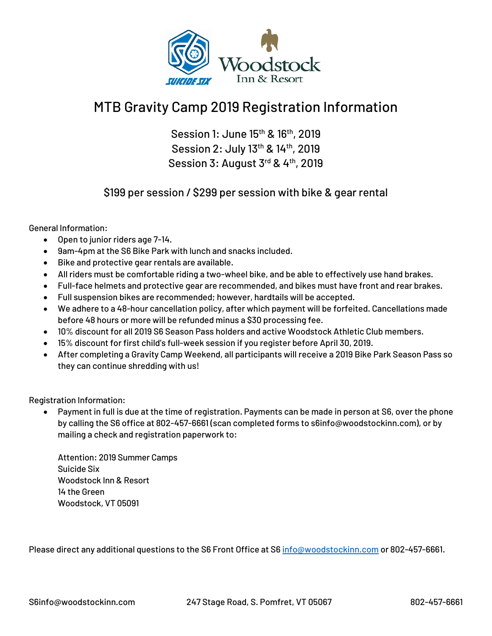

## MTB Gravity Camp 2019 Registration Information

Session 1: June 15th & 16th, 2019 Session 2: July 13<sup>th</sup> & 14<sup>th</sup>, 2019 Session 3: August 3rd & 4th, 2019

\$199 per session / \$299 per session with bike & gear rental

General Information:

- Open to junior riders age 7-14.
- 9am-4pm at the S6 Bike Park with lunch and snacks included.
- Bike and protective gear rentals are available.
- All riders must be comfortable riding a two-wheel bike, and be able to effectively use hand brakes.
- Full-face helmets and protective gear are recommended, and bikes must have front and rear brakes.
- Full suspension bikes are recommended; however, hardtails will be accepted.
- We adhere to a 48-hour cancellation policy, after which payment will be forfeited. Cancellations made before 48 hours or more will be refunded minus a \$30 processing fee.
- 10% discount for all 2019 S6 Season Pass holders and active Woodstock Athletic Club members.
- 15% discount for first child's full-week session if you register before April 30, 2019.
- After completing a Gravity Camp Weekend, all participants will receive a 2019 Bike Park Season Pass so they can continue shredding with us!

Registration Information:

• Payment in full is due at the time of registration. Payments can be made in person at S6, over the phone by calling the S6 office at 802-457-6661 (scan completed forms to s6info@woodstockinn.com), or by mailing a check and registration paperwork to:

Attention: 2019 Summer Camps Suicide Six Woodstock Inn & Resort 14 the Green Woodstock, VT 05091

Please direct any additional questions to the S6 Front Office at S[6 info@woodstockinn.com](mailto:info@woodstockinn.com) or 802-457-6661.